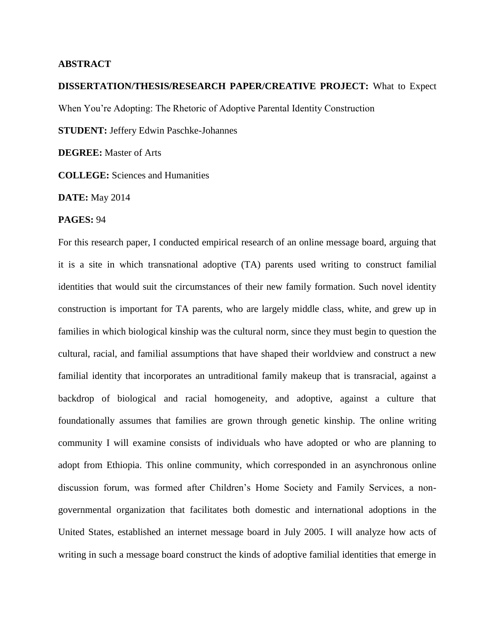## **ABSTRACT**

## **DISSERTATION/THESIS/RESEARCH PAPER/CREATIVE PROJECT:** What to Expect When You're Adopting: The Rhetoric of Adoptive Parental Identity Construction **STUDENT:** Jeffery Edwin Paschke-Johannes **DEGREE:** Master of Arts

**COLLEGE:** Sciences and Humanities

**DATE:** May 2014

## **PAGES:** 94

For this research paper, I conducted empirical research of an online message board, arguing that it is a site in which transnational adoptive (TA) parents used writing to construct familial identities that would suit the circumstances of their new family formation. Such novel identity construction is important for TA parents, who are largely middle class, white, and grew up in families in which biological kinship was the cultural norm, since they must begin to question the cultural, racial, and familial assumptions that have shaped their worldview and construct a new familial identity that incorporates an untraditional family makeup that is transracial, against a backdrop of biological and racial homogeneity, and adoptive, against a culture that foundationally assumes that families are grown through genetic kinship. The online writing community I will examine consists of individuals who have adopted or who are planning to adopt from Ethiopia. This online community, which corresponded in an asynchronous online discussion forum, was formed after Children's Home Society and Family Services, a nongovernmental organization that facilitates both domestic and international adoptions in the United States, established an internet message board in July 2005. I will analyze how acts of writing in such a message board construct the kinds of adoptive familial identities that emerge in